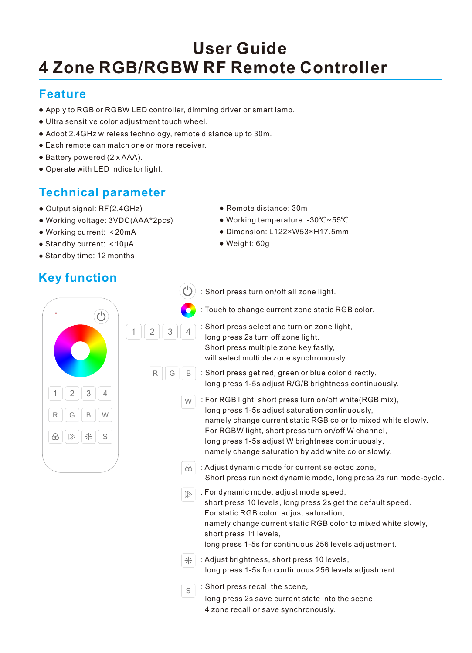# **4 Zone RGB/RGBW RF Remote Controller User Guide**

### **Feature**

● Apply to RGB or RGBW LED controller, dimming driver or smart lamp.

 $R$  G

- Ultra sensitive color adjustment touch wheel.
- Adopt 2.4GHz wireless technology, remote distance up to 30m.
- Each remote can match one or more receiver.
- Battery powered (2 x AAA).
- Operate with LED indicator light.

# **Technical parameter**

- Output signal: RF(2.4GHz)
- Working voltage: 3VDC(AAA\*2pcs)
- Working current: <20mA
- Standby current: <10μA
- Standby time: 12 months

# **Key function**

- Remote distance: 30m
- Working temperature: -30℃~55℃
- Dimension: L122×W53×H17.5mm
- Weight: 60g
- : Short press turn on/off all zone light.
- : Touch to change current zone static RGB color.
- $\binom{1}{2}$ 1 2 3 4 1 2 3 4 R G B W S
- : Short press select and turn on zone light, long press 2s turn off zone light. Short press multiple zone key fastly, will select multiple zone synchronously.
- : Short press get red, green or blue color directly. long press 1-5s adjust R/G/B brightness continuously.
- W : For RGB light, short press turn on/off white(RGB mix), long press 1-5s adjust saturation continuously, namely change current static RGB color to mixed white slowly. For RGBW light, short press turn on/off W channel, long press 1-5s adjust W brightness continuously, namely change saturation by add white color slowly.
- $\odot$  : Adjust dynamic mode for current selected zone. Short press run next dynamic mode, long press 2s run mode-cycle.
- $\triangleright$  : For dynamic mode, adjust mode speed, short press 10 levels, long press 2s get the default speed. For static RGB color, adjust saturation, namely change current static RGB color to mixed white slowly, short press 11 levels, long press 1-5s for continuous 256 levels adjustment.
- $\frac{1}{2}$ : Adjust brightness, short press 10 levels, long press 1-5s for continuous 256 levels adjustment.
- : Short press recall the scene, S
	- long press 2s save current state into the scene. 4 zone recall or save synchronously.